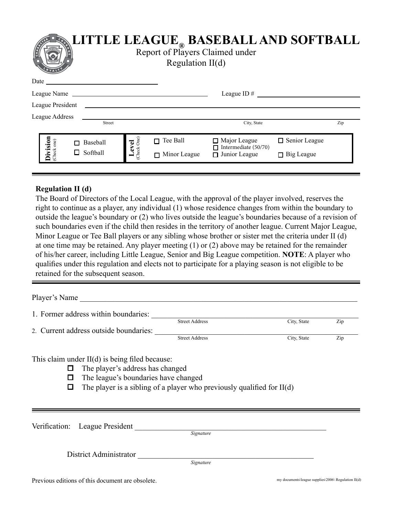

## □ Baseball  $\Box$  Softball  $\Box$  Tee Ball □ Minor League □ Major League □ Junior League □ Senior League  $\Box$  Big League  $\Box$  Intermediate (50/70)

## **Regulation II (d)**

The Board of Directors of the Local League, with the approval of the player involved, reserves the right to continue as a player, any individual (1) whose residence changes from within the boundary to outside the league's boundary or (2) who lives outside the league's boundaries because of a revision of such boundaries even if the child then resides in the territory of another league. Current Major League, Minor League or Tee Ball players or any sibling whose brother or sister met the criteria under II (d) at one time may be retained. Any player meeting (1) or (2) above may be retained for the remainder of his/her career, including Little League, Senior and Big League competition. **NOTE**: A player who qualifies under this regulation and elects not to participate for a playing season is not eligible to be **retained D** Baseball<br> **L** Softball<br> **Regulation II (d)**<br> **Regulation II (d)**<br>
The Board of Directors of the Loca<br>
right to continue as a player, any in<br>
outside the league's boundary or (2<br>
such boundaries even if the c

Player's Name

| 1. Former address within boundaries:   |                       |             |     |
|----------------------------------------|-----------------------|-------------|-----|
|                                        | <b>Street Address</b> | City, State | Zip |
| 2. Current address outside boundaries: |                       |             |     |
|                                        | <b>Street Address</b> | City, State | Zip |

This claim under II(d) is being filed because:

- $\Box$  The player's address has changed
- $\Box$  The league's boundaries have changed
- $\Box$  The player is a sibling of a player who previously qualified for II(d)

| Verification: League President                   |           |                                                     |
|--------------------------------------------------|-----------|-----------------------------------------------------|
|                                                  | Signature |                                                     |
| District Administrator                           |           |                                                     |
|                                                  | Signature |                                                     |
| Previous editions of this document are obsolete. |           | my documents\league supplies\2006\ Regulation II(d) |